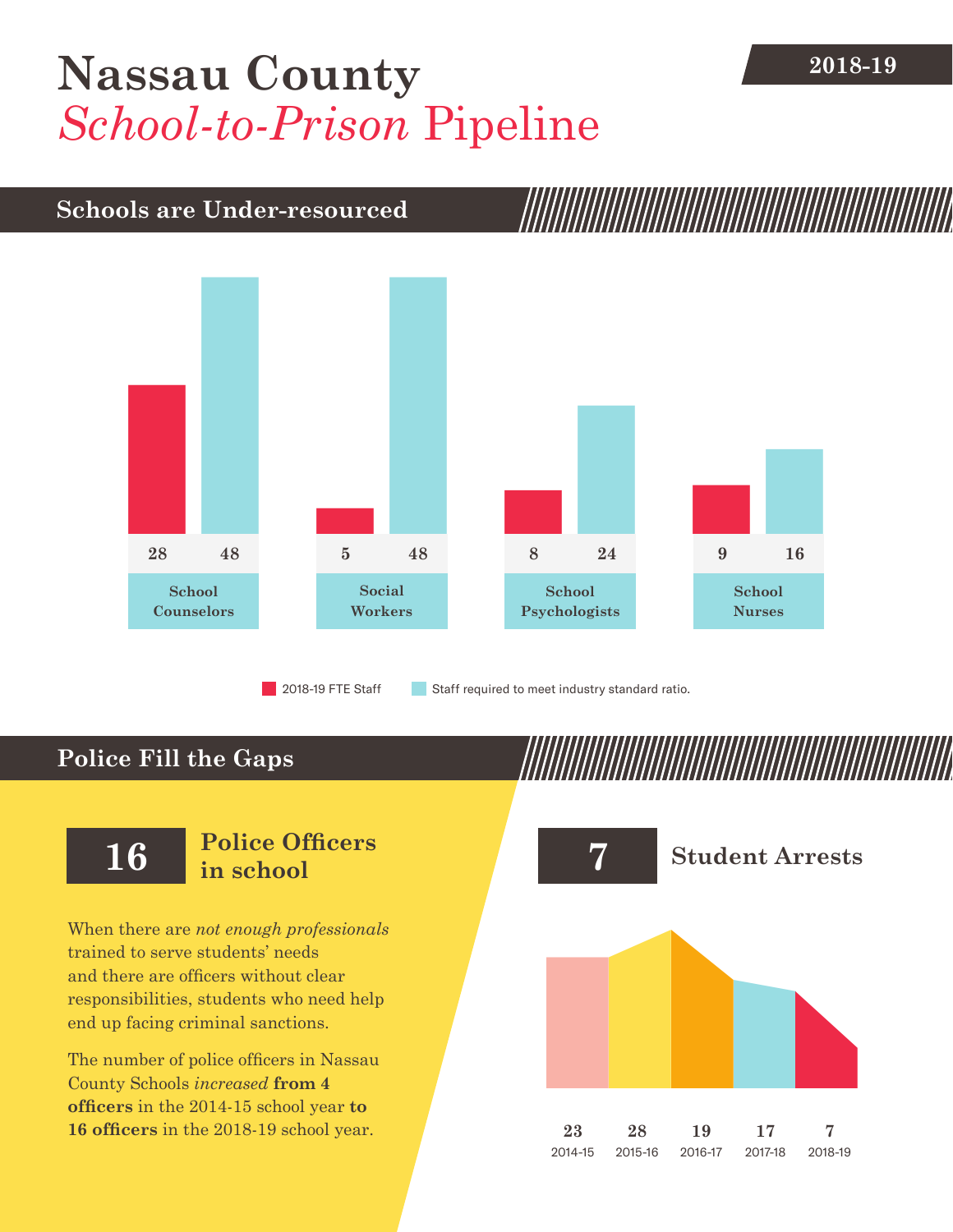## [Nassau County](DBF_County) 2018-19 *School-to-Prison* Pipeline

### **Schools are Under-resourced**



2018-19 FTE Staff **Staff required to meet industry standard ratio.** 

## **Police Fill the Gaps**

When there are *not enough professionals* trained to serve students' needs and there are officers without clear responsibilities, students who need help end up facing criminal sanctions.

The number of police officers in [Nassau](DBF_County)  [County](DBF_County) Schools *increased* **from [4](DBF_PO1415) officers** in the 2014-15 school year **to [16](DBF_PO) officers** in the 2018-19 school year.